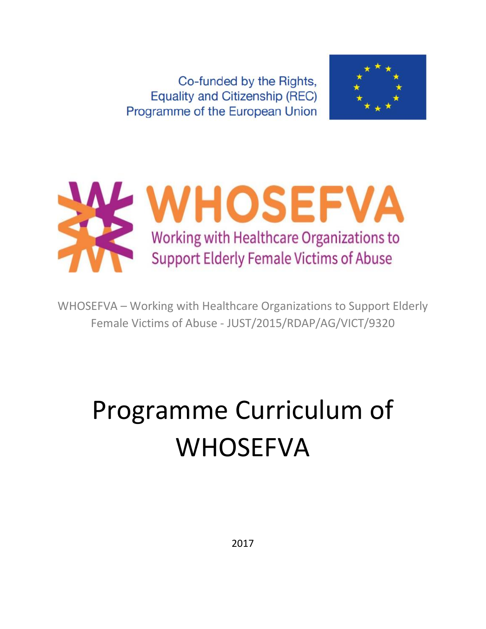Co-funded by the Rights, **Equality and Citizenship (REC)** Programme of the European Union





WHOSEFVA – Working with Healthcare Organizations to Support Elderly Female Victims of Abuse - JUST/2015/RDAP/AG/VICT/9320

# Programme Curriculum of WHOSEFVA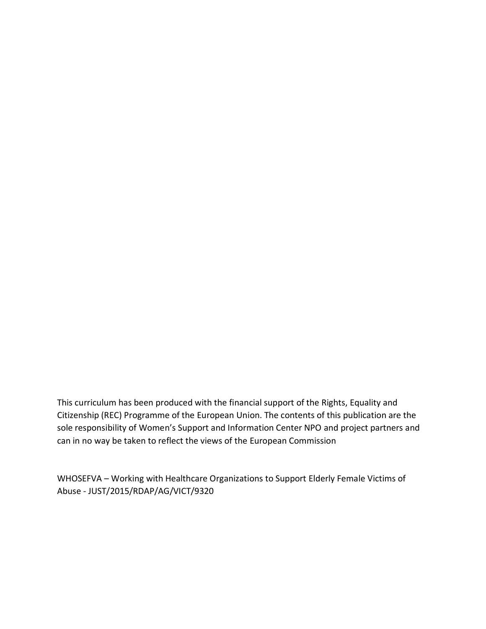This curriculum has been produced with the financial support of the Rights, Equality and Citizenship (REC) Programme of the European Union. The contents of this publication are the sole responsibility of Women's Support and Information Center NPO and project partners and can in no way be taken to reflect the views of the European Commission

WHOSEFVA – Working with Healthcare Organizations to Support Elderly Female Victims of Abuse - JUST/2015/RDAP/AG/VICT/9320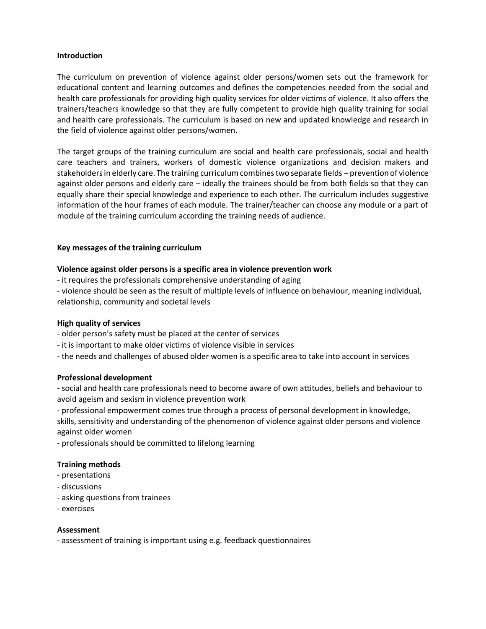#### **Introduction**

The curriculum on prevention of violence against older persons/women sets out the framework for educational content and learning outcomes and defines the competencies needed from the social and health care professionals for providing high quality services for older victims of violence. It also offers the trainers/teachers knowledge so that they are fully competent to provide high quality training for social and health care professionals. The curriculum is based on new and updated knowledge and research in the field of violence against older persons/women.

The target groups of the training curriculum are social and health care professionals, social and health care teachers and trainers, workers of domestic violence organizations and decision makers and stakeholders in elderly care. The training curriculum combines two separate fields – prevention of violence against older persons and elderly care – ideally the trainees should be from both fields so that they can equally share their special knowledge and experience to each other. The curriculum includes suggestive information of the hour frames of each module. The trainer/teacher can choose any module or a part of module of the training curriculum according the training needs of audience.

#### **Key messages of the training curriculum**

#### **Violence against older persons is a specific area in violence prevention work**

- it requires the professionals comprehensive understanding of aging
- violence should be seen as the result of multiple levels of influence on behaviour, meaning individual, relationship, community and societal levels

#### **High quality of services**

- older person's safety must be placed at the center of services
- it is important to make older victims of violence visible in services
- the needs and challenges of abused older women is a specific area to take into account in services

#### **Professional development**

- social and health care professionals need to become aware of own attitudes, beliefs and behaviour to avoid ageism and sexism in violence prevention work

- professional empowerment comes true through a process of personal development in knowledge, skills, sensitivity and understanding of the phenomenon of violence against older persons and violence against older women

- professionals should be committed to lifelong learning

#### **Training methods**

- presentations
- discussions
- asking questions from trainees
- exercises

#### **Assessment**

- assessment of training is important using e.g. feedback questionnaires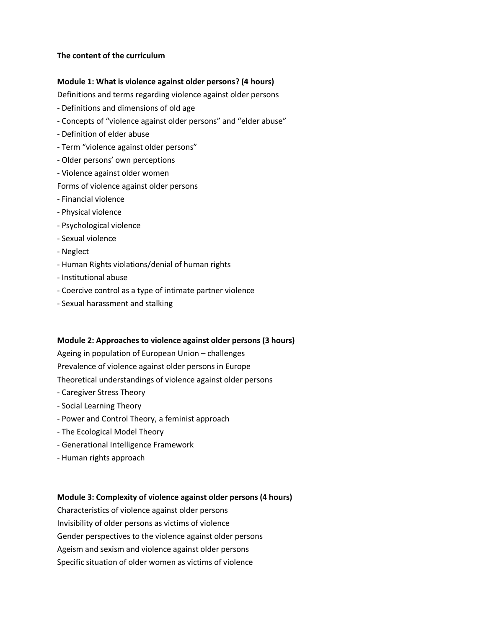#### **The content of the curriculum**

#### **Module 1: What is violence against older persons? (4 hours)**

Definitions and terms regarding violence against older persons

- Definitions and dimensions of old age
- Concepts of "violence against older persons" and "elder abuse"
- Definition of elder abuse
- Term "violence against older persons"
- Older persons' own perceptions
- Violence against older women

#### Forms of violence against older persons

- Financial violence
- Physical violence
- Psychological violence
- Sexual violence
- Neglect
- Human Rights violations/denial of human rights
- Institutional abuse
- Coercive control as a type of intimate partner violence
- Sexual harassment and stalking

#### **Module 2: Approaches to violence against older persons (3 hours)**

Ageing in population of European Union – challenges Prevalence of violence against older persons in Europe Theoretical understandings of violence against older persons

- Caregiver Stress Theory
- Social Learning Theory
- Power and Control Theory, a feminist approach
- The Ecological Model Theory
- Generational Intelligence Framework
- Human rights approach

#### **Module 3: Complexity of violence against older persons (4 hours)**

Characteristics of violence against older persons Invisibility of older persons as victims of violence Gender perspectives to the violence against older persons Ageism and sexism and violence against older persons Specific situation of older women as victims of violence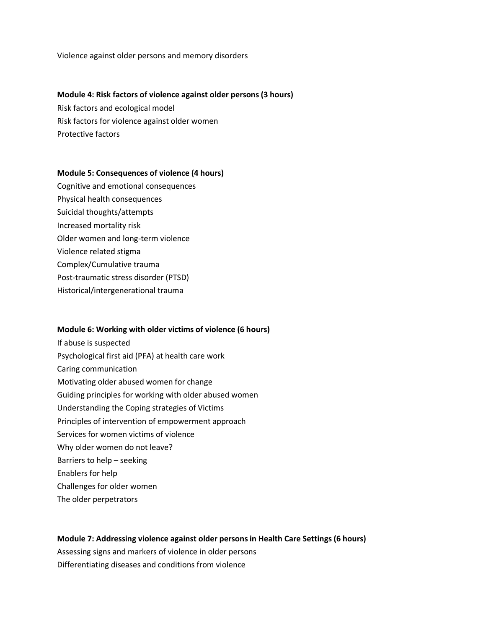Violence against older persons and memory disorders

#### **Module 4: Risk factors of violence against older persons (3 hours)**

Risk factors and ecological model Risk factors for violence against older women Protective factors

#### **Module 5: Consequences of violence (4 hours)**

Cognitive and emotional consequences Physical health consequences Suicidal thoughts/attempts Increased mortality risk Older women and long-term violence Violence related stigma Complex/Cumulative trauma Post-traumatic stress disorder (PTSD) Historical/intergenerational trauma

#### **Module 6: Working with older victims of violence (6 hours)**

If abuse is suspected Psychological first aid (PFA) at health care work Caring communication Motivating older abused women for change Guiding principles for working with older abused women Understanding the Coping strategies of Victims Principles of intervention of empowerment approach Services for women victims of violence Why older women do not leave? Barriers to help – seeking Enablers for help Challenges for older women The older perpetrators

# **Module 7: Addressing violence against older persons in Health Care Settings (6 hours)**  Assessing signs and markers of violence in older persons Differentiating diseases and conditions from violence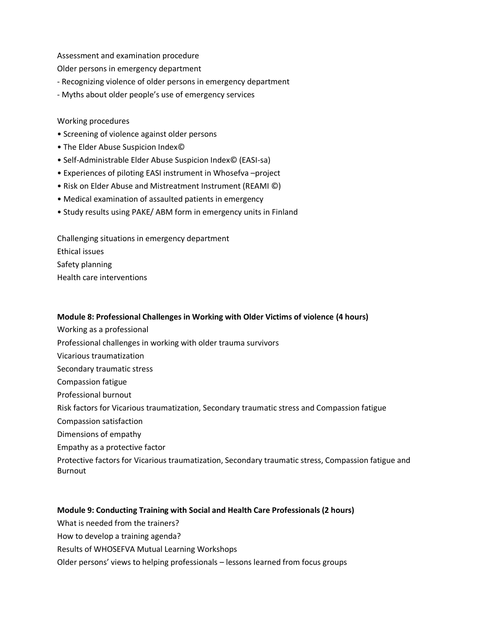Assessment and examination procedure

Older persons in emergency department

- Recognizing violence of older persons in emergency department
- Myths about older people's use of emergency services

#### Working procedures

- Screening of violence against older persons
- The Elder Abuse Suspicion Index©
- Self-Administrable Elder Abuse Suspicion Index© (EASI-sa)
- Experiences of piloting EASI instrument in Whosefva –project
- Risk on Elder Abuse and Mistreatment Instrument (REAMI ©)
- Medical examination of assaulted patients in emergency
- Study results using PAKE/ ABM form in emergency units in Finland

Challenging situations in emergency department Ethical issues Safety planning Health care interventions

#### **Module 8: Professional Challenges in Working with Older Victims of violence (4 hours)**

- Working as a professional
- Professional challenges in working with older trauma survivors
- Vicarious traumatization
- Secondary traumatic stress
- Compassion fatigue
- Professional burnout

Risk factors for Vicarious traumatization, Secondary traumatic stress and Compassion fatigue

- Compassion satisfaction
- Dimensions of empathy
- Empathy as a protective factor

Protective factors for Vicarious traumatization, Secondary traumatic stress, Compassion fatigue and **Burnout** 

#### **Module 9: Conducting Training with Social and Health Care Professionals (2 hours)**

What is needed from the trainers?

- How to develop a training agenda?
- Results of WHOSEFVA Mutual Learning Workshops
- Older persons' views to helping professionals lessons learned from focus groups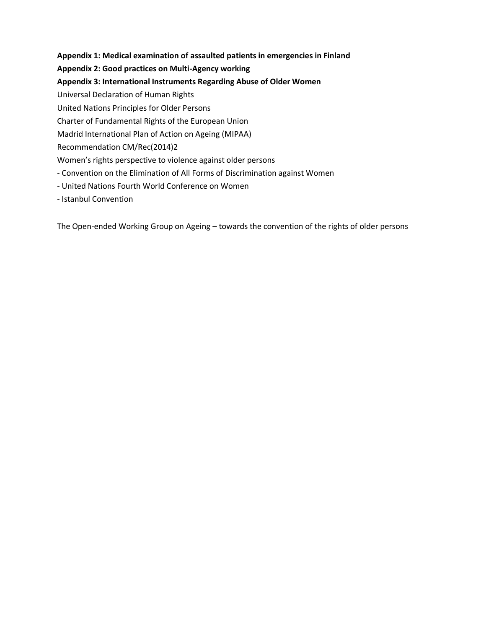# **Appendix 1: Medical examination of assaulted patients in emergencies in Finland**

# **Appendix 2: Good practices on Multi-Agency working**

# **Appendix 3: International Instruments Regarding Abuse of Older Women**

Universal Declaration of Human Rights

United Nations Principles for Older Persons

Charter of Fundamental Rights of the European Union

Madrid International Plan of Action on Ageing (MIPAA)

Recommendation CM/Rec(2014)2

Women's rights perspective to violence against older persons

- Convention on the Elimination of All Forms of Discrimination against Women
- United Nations Fourth World Conference on Women
- Istanbul Convention

The Open-ended Working Group on Ageing – towards the convention of the rights of older persons